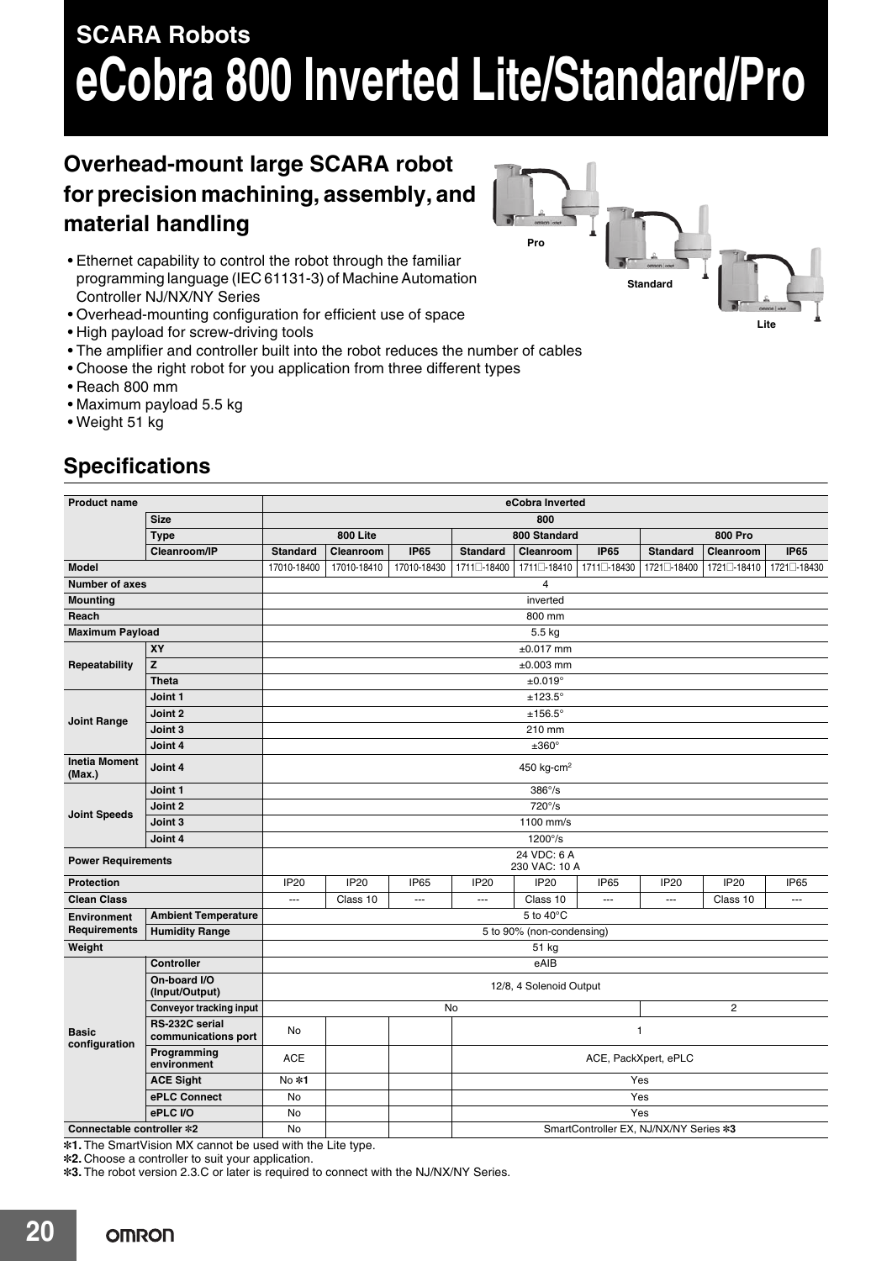# **SCARA Robots eCobra 800 Inverted Lite/Standard/Pro**

## **Overhead-mount large SCARA robot for precision machining, assembly, and material handling**

- Ethernet capability to control the robot through the familiar programming language (IEC 61131-3) of Machine Automation Controller NJ/NX/NY Series
- Overhead-mounting configuration for efficient use of space
- High payload for screw-driving tools
- The amplifier and controller built into the robot reduces the number of cables
- Choose the right robot for you application from three different types
- Reach 800 mm
- Maximum payload 5.5 kg
- Weight 51 kg

**Specifications**

#### **Product name eCobra Inverted Size 800 Type 800 Lite 800 Standard 800 Pro Cleanroom/IP Standard Cleanroom IP65 Standard Cleanroom IP65 Standard Cleanroom IP65 Model** 17010-18400 17010-18410 17010-18430 1711**@**-18400 1711**@**-18410 1711**@**-18430 1721**@**-18400 1721**@**-18410 1721**@**-18430 **Number of axes** 4 **Mounting** inverted in the second contract of the second contract of the second contract of the second contract of the second contract of the second contract of the second contract of the second contract of the second cont **Reach** 800 mm **Maximum Payload** 5.5 kg **Repeatability XY** ±0.017 mm **Z** ±0.003 mm **Theta** ±0.019° **Joint Range Joint 1** ±123.5° **Joint 2** ±156.5° **Joint 3** 210 mm **Joint 4** ±360° **Inetia Moment (Max.) Joint 4 Joint 4 According to the U** and the U and the U and the U and the U and the U and the U and the U and the U and the U and the U and the U and the U and the U and the U and the U and the U and the U an **Joint Speeds Joint 1** 386°/s **Joint 2** 720°/s **Joint 3** 1100 mm/s **Joint 4** 1200°/s **Power Requirements** 24 VDC: 6 A 230 VAC: 10 A **Protection** IP20 IP20 IP65 IP20 IP20 IP65 IP20 IP20 IP65 **Clean Class** --- Class 10 --- --- Class 10 --- --- Class 10 --- **Environment Requirements Ambient Temperature Example 2018 Ambient Temperature 5** to 40 $^{\circ}$ C **Humidity Range** 5 to 90% (non-condensing) **Weight** 51 kg  $\sim$  51 kg  $\sim$  51 kg  $\sim$  51 kg  $\sim$  51 kg  $\sim$  51 kg  $\sim$  51 kg  $\sim$ **Basic configuration Controller** eAIB **On-board I/O (Input/Output)** 12/8, 4 Solenoid Output **Conveyor tracking input** 2 **RS-232C serial communications port** No No 1<br>**communications port** No 1 **Programming environment** ACE ACE, ACE, PackXpert, ePLC<br> **environment ACE Sight** No **\*1** Yes **ePLC Connect** No Yes **ePLC I/O** No Yes **Connectable controller \*2** No No SmartController EX, NJ/NX/NY Series \*3

**\*1.** The SmartVision MX cannot be used with the Lite type.

**\*2.** Choose a controller to suit your application.

**\*3.** The robot version 2.3.C or later is required to connect with the NJ/NX/NY Series.

**Pro Lite Standard**

**20**